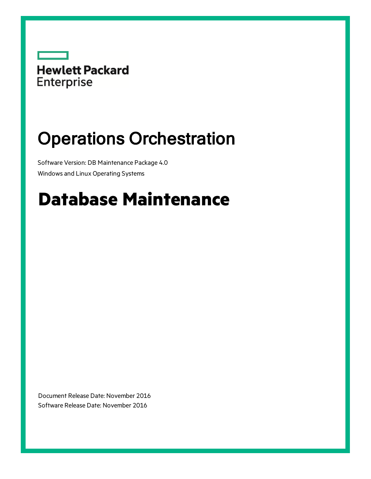

# Operations Orchestration

Software Version: DB Maintenance Package 4.0 Windows and Linux Operating Systems

# **Database Maintenance**

Document Release Date: November 2016 Software Release Date: November 2016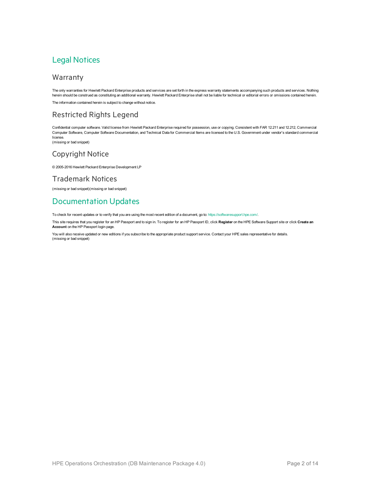### Legal Notices

#### Warranty

The only warranties for Hewlett Packard Enterprise products and services are set forth in the express warranty statements accompanying such products and services. Nothing herein should be construed as constituting an additional warranty. Hewlett Packard Enterprise shall not be liable for technical or editorial errors or omissions contained herein. The information contained herein is subject to change without notice.

#### Restricted Rights Legend

Confidential computer software. Valid license from Hewlett Packard Enterprise required for possession, use or copying. Consistent with FAR 12.211 and 12.212, Commercial Computer Software, Computer Software Documentation, and Technical Data for Commercial Items are licensed to the U.S. Government under vendor's standard commercial license.

(missing or bad snippet)

#### Copyright Notice

© 2005-2016 Hewlett Packard Enterprise Development LP

#### Trademark Notices

(missing or bad snippet)(missing or bad snippet)

### Documentation Updates

To check for recent updates or to verify that you are using the most recent edition of a document, go to: <https://softwaresupport.hpe.com/>.

This site requires that you register for an HP Passport and to sign in. To register for an HP Passport ID, click **Register** on the HPE Software Support site or click **Create an Account** on the HP Passport login page.

You will also receive updated or new editions if you subscribe to the appropriate product support service. Contact your HPE sales representative for details. (missing or bad snippet)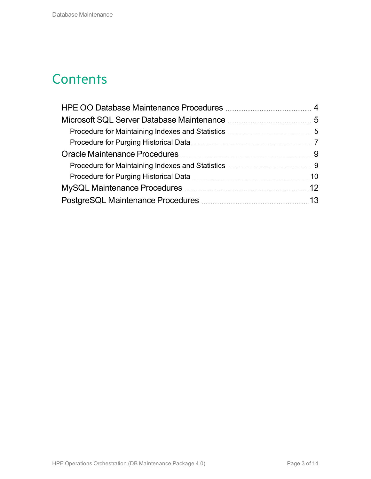### **Contents**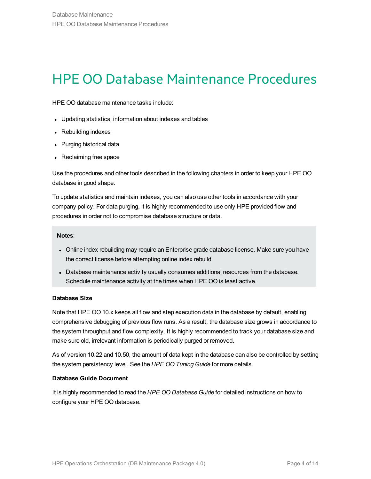### <span id="page-3-0"></span>HPE OO Database Maintenance Procedures

HPE OO database maintenance tasks include:

- Updating statistical information about indexes and tables
- Rebuilding indexes
- Purging historical data
- Reclaiming free space

Use the procedures and other tools described in the following chapters in order to keep your HPE OO database in good shape.

To update statistics and maintain indexes, you can also use other tools in accordance with your company policy. For data purging, it is highly recommended to use only HPE provided flow and procedures in order not to compromise database structure or data.

#### **Notes**:

- Online index rebuilding may require an Enterprise grade database license. Make sure you have the correct license before attempting online index rebuild.
- Database maintenance activity usually consumes additional resources from the database. Schedule maintenance activity at the times when HPE OO is least active.

#### **Database Size**

Note that HPE OO 10.x keeps all flow and step execution data in the database by default, enabling comprehensive debugging of previous flow runs. As a result, the database size grows in accordance to the system throughput and flow complexity. It is highly recommended to track your database size and make sure old, irrelevant information is periodically purged or removed.

As of version 10.22 and 10.50, the amount of data kept in the database can also be controlled by setting the system persistency level. See the *HPE OO Tuning Guide* for more details.

#### **Database Guide Document**

It is highly recommended to read the *HPE OO Database Guide* for detailed instructions on how to configure your HPE OO database.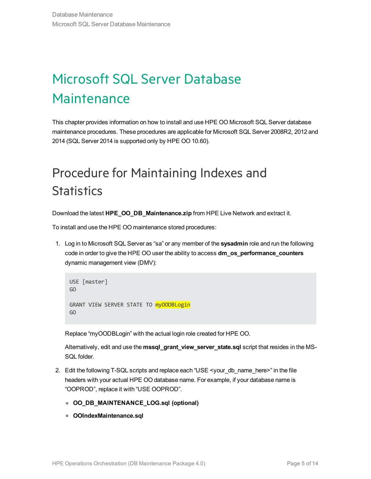## <span id="page-4-0"></span>Microsoft SQL Server Database **Maintenance**

This chapter provides information on how to install and use HPE OO Microsoft SQL Server database maintenance procedures. These procedures are applicable for Microsoft SQL Server 2008R2, 2012 and 2014 (SQL Server 2014 is supported only by HPE OO 10.60).

### <span id="page-4-1"></span>Procedure for Maintaining Indexes and **Statistics**

Download the latest **HPE\_OO\_DB\_Maintenance.zip** from HPE Live Network and extract it.

To install and use the HPE OO maintenance stored procedures:

1. Log in to Microsoft SQL Server as "sa" or any member of the **sysadmin** role and run the following code in order to give the HPE OO user the ability to access **dm\_os\_performance\_counters** dynamic management view (DMV):

```
USE [master]
GO
GRANT VIEW SERVER STATE TO myOODBLogin
GO
```
Replace "myOODBLogin" with the actual login role created for HPE OO.

Alternatively, edit and use the **mssql\_grant\_view\_server\_state.sql** script that resides in the MS-SQL folder.

- 2. Edit the following T-SQL scripts and replace each "USE <your\_db\_name\_here>" in the file headers with your actual HPE OO database name. For example, if your database name is "OOPROD", replace it with "USE OOPROD".
	- **<sup>o</sup> OO\_DB\_MAINTENANCE\_LOG.sql (optional)**
	- **<sup>o</sup> OOIndexMaintenance.sql**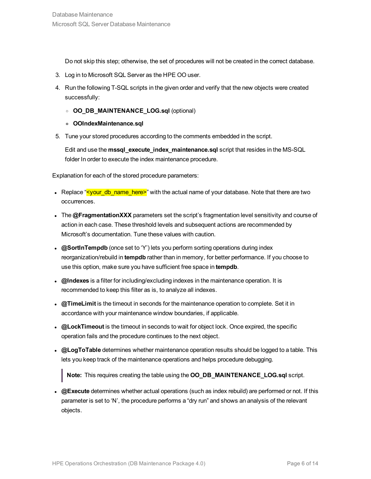Do not skip this step; otherwise, the set of procedures will not be created in the correct database.

- 3. Log in to Microsoft SQL Server as the HPE OO user.
- 4. Run the following T-SQL scripts in the given order and verify that the new objects were created successfully:
	- <sup>o</sup> **OO\_DB\_MAINTENANCE\_LOG.sql** (optional)
	- **<sup>o</sup> OOIndexMaintenance.sql**
- 5. Tune your stored procedures according to the comments embedded in the script.

Edit and use the **mssql\_execute\_index\_maintenance.sql** script that resides in the MS-SQL folder In order to execute the index maintenance procedure.

Explanation for each of the stored procedure parameters:

- Replace "syour\_db\_name\_here>" with the actual name of your database. Note that there are two occurrences.
- The @FragmentationXXX parameters set the script's fragmentation level sensitivity and course of action in each case. These threshold levels and subsequent actions are recommended by Microsoft's documentation. Tune these values with caution.
- **@SortInTempdb** (once set to 'Y') lets you perform sorting operations during index reorganization/rebuild in **tempdb** rather than in memory, for better performance. If you choose to use this option, make sure you have sufficient free space in **tempdb**.
- **@Indexes** is a filter for including/excluding indexes in the maintenance operation. It is recommended to keep this filter as is, to analyze all indexes.
- **a. @TimeLimit** is the timeout in seconds for the maintenance operation to complete. Set it in accordance with your maintenance window boundaries, if applicable.
- **@LockTimeout** is the timeout in seconds to wait for object lock. Once expired, the specific operation fails and the procedure continues to the next object.
- **@LogToTable** determines whether maintenance operation results should be logged to a table. This lets you keep track of the maintenance operations and helps procedure debugging.

**Note:** This requires creating the table using the **OO\_DB\_MAINTENANCE\_LOG.sql** script.

• **@Execute** determines whether actual operations (such as index rebuild) are performed or not. If this parameter is set to 'N', the procedure performs a "dry run" and shows an analysis of the relevant objects.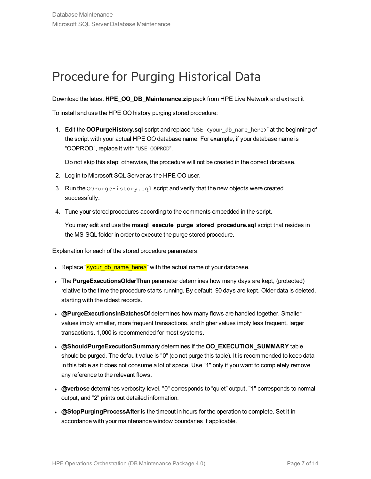### <span id="page-6-0"></span>Procedure for Purging Historical Data

Download the latest **HPE\_OO\_DB\_Maintenance.zip** pack from HPE Live Network and extract it

To install and use the HPE OO history purging stored procedure:

1. Edit the **OOPurgeHistory.sql** script and replace "USE <your\_db\_name\_here>" at the beginning of the script with your actual HPE OO database name. For example, if your database name is "OOPROD", replace it with "USE OOPROD".

Do not skip this step; otherwise, the procedure will not be created in the correct database.

- 2. Log in to Microsoft SQL Server as the HPE OO user.
- 3. Run the  $\text{OOPurgeHistory}$ . sql script and verify that the new objects were created successfully.
- 4. Tune your stored procedures according to the comments embedded in the script.

You may edit and use the **mssql\_execute\_purge\_stored\_procedure.sql** script that resides in the MS-SQL folder in order to execute the purge stored procedure.

Explanation for each of the stored procedure parameters:

- Replace "**<your\_db\_name\_here>**" with the actual name of your database.
- The **PurgeExecutionsOlderThan** parameter determines how many days are kept, (protected) relative to the time the procedure starts running. By default, 90 days are kept. Older data is deleted, starting with the oldest records.
- **. @PurgeExecutionsInBatchesOf** determines how many flows are handled together. Smaller values imply smaller, more frequent transactions, and higher values imply less frequent, larger transactions. 1,000 is recommended for most systems.
- <sup>l</sup> **@ShouldPurgeExecutionSummary** determines if the **OO\_EXECUTION\_SUMMARY** table should be purged. The default value is "0" (do not purge this table). It is recommended to keep data in this table as it does not consume a lot of space. Use "1" only if you want to completely remove any reference to the relevant flows.
- <sup>l</sup> **@verbose** determines verbosity level. "0" corresponds to "quiet" output, "1" corresponds to normal output, and "2" prints out detailed information.
- **.** @StopPurgingProcessAfter is the timeout in hours for the operation to complete. Set it in accordance with your maintenance window boundaries if applicable.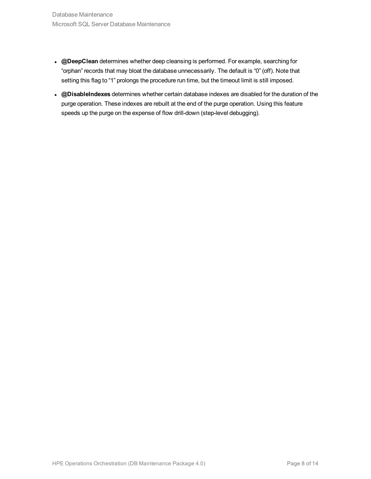- **.** @DeepClean determines whether deep cleansing is performed. For example, searching for "orphan" records that may bloat the database unnecessarily. The default is "0" (off). Note that setting this flag to "1" prolongs the procedure run time, but the timeout limit is still imposed.
- <sup>l</sup> **@DisableIndexes** determines whether certain database indexes are disabled for the duration of the purge operation. These indexes are rebuilt at the end of the purge operation. Using this feature speeds up the purge on the expense of flow drill-down (step-level debugging).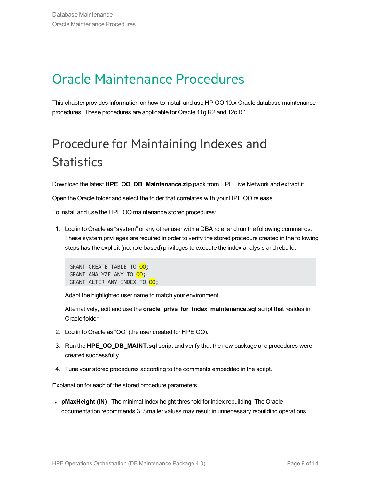### <span id="page-8-0"></span>Oracle Maintenance Procedures

This chapter provides information on how to install and use HP OO 10.x Oracle database maintenance procedures. These procedures are applicable for Oracle 11g R2 and 12c R1.

### <span id="page-8-1"></span>Procedure for Maintaining Indexes and **Statistics**

Download the latest **HPE\_OO\_DB\_Maintenance.zip** pack from HPE Live Network and extract it.

Open the Oracle folder and select the folder that correlates with your HPE OO release.

To install and use the HPE OO maintenance stored procedures:

1. Log in to Oracle as "system" or any other user with a DBA role, and run the following commands. These system privileges are required in order to verify the stored procedure created in the following steps has the explicit (not role-based) privileges to execute the index analysis and rebuild:

GRANT CREATE TABLE TO OO; GRANT ANALYZE ANY TO 00; GRANT ALTER ANY INDEX TO 00;

Adapt the highlighted user name to match your environment.

Alternatively, edit and use the **oracle\_privs\_for\_index\_maintenance.sql** script that resides in Oracle folder.

- 2. Log in to Oracle as "OO" (the user created for HPE OO).
- 3. Run the **HPE\_OO\_DB\_MAINT.sql** script and verify that the new package and procedures were created successfully.
- 4. Tune your stored procedures according to the comments embedded in the script.

Explanation for each of the stored procedure parameters:

**• pMaxHeight (IN)** - The minimal index height threshold for index rebuilding. The Oracle documentation recommends 3. Smaller values may result in unnecessary rebuilding operations.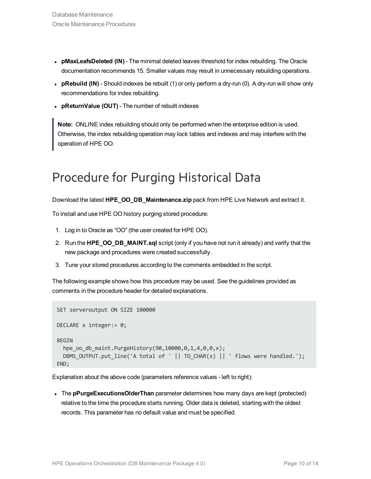- **pMaxLeafsDeleted (IN)** The minimal deleted leaves threshold for index rebuilding. The Oracle documentation recommends 15. Smaller values may result in unnecessary rebuilding operations.
- **pRebuild (IN)** Should indexes be rebuilt (1) or only perform a dry-run (0). A dry-run will show only recommendations for index rebuilding.
- <sup>l</sup> **pReturnValue (OUT)** The number of rebuilt indexes

**Note:** ONLINE index rebuilding should only be performed when the enterprise edition is used. Otherwise, the index rebuilding operation may lock tables and indexes and may interfere with the operation of HPE OO.

### <span id="page-9-0"></span>Procedure for Purging Historical Data

Download the latest **HPE\_OO\_DB\_Maintenance.zip** pack from HPE Live Network and extract it.

To install and use HPE OO history purging stored procedure:

- 1. Log in to Oracle as "OO" (the user created for HPE OO).
- 2. Run the **HPE\_OO\_DB\_MAINT.sql** script (only if you have not run it already) and verify that the new package and procedures were created successfully.
- 3. Tune your stored procedures according to the comments embedded in the script.

The following example shows how this procedure may be used. See the guidelines provided as comments in the procedure header for detailed explanations.

```
SET serveroutput ON SIZE 100000
DECLARE x integer:= 0;
BEGIN
  hpe oo db maint.PurgeHistory(90,10000,0,1,4,0,0,x);
  DBMS OUTPUT.put line('A total of ' || TO CHAR(x) || ' flows were handled.');
END;
```
Explanation about the above code (parameters reference values - left to right):

• The **pPurgeExecutionsOlderThan** parameter determines how many days are kept (protected) relative to the time the procedure starts running. Older data is deleted, starting with the oldest records. This parameter has no default value and must be specified.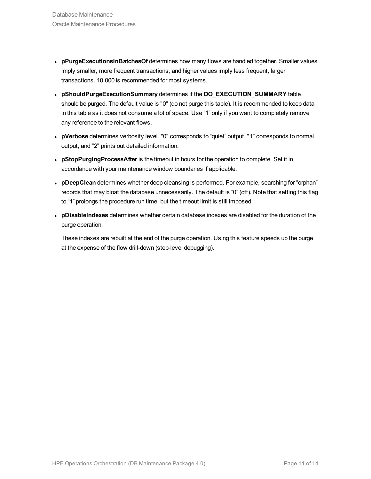- **· pPurgeExecutionsInBatchesOf** determines how many flows are handled together. Smaller values imply smaller, more frequent transactions, and higher values imply less frequent, larger transactions. 10,000 is recommended for most systems.
- <sup>l</sup> **pShouldPurgeExecutionSummary** determines if the **OO\_EXECUTION\_SUMMARY** table should be purged. The default value is "0" (do not purge this table). It is recommended to keep data in this table as it does not consume a lot of space. Use "1" only if you want to completely remove any reference to the relevant flows.
- <sup>l</sup> **pVerbose** determines verbosity level. "0" corresponds to "quiet" output, "1" corresponds to normal output, and "2" prints out detailed information.
- **pStopPurgingProcessAfter** is the timeout in hours for the operation to complete. Set it in accordance with your maintenance window boundaries if applicable.
- **· pDeepClean** determines whether deep cleansing is performed. For example, searching for "orphan" records that may bloat the database unnecessarily. The default is "0" (off). Note that setting this flag to "1" prolongs the procedure run time, but the timeout limit is still imposed.
- <sup>l</sup> **pDisableIndexes** determines whether certain database indexes are disabled for the duration of the purge operation.

These indexes are rebuilt at the end of the purge operation. Using this feature speeds up the purge at the expense of the flow drill-down (step-level debugging).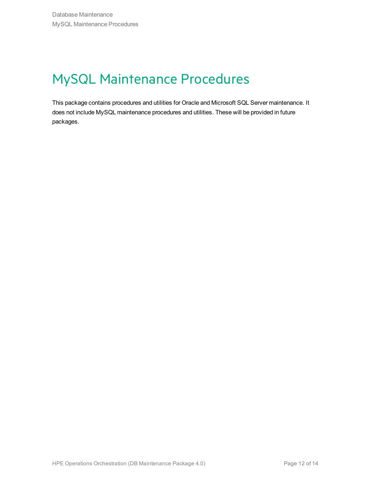### <span id="page-11-0"></span>MySQL Maintenance Procedures

This package contains procedures and utilities for Oracle and Microsoft SQL Server maintenance. It does not include MySQL maintenance procedures and utilities. These will be provided in future packages.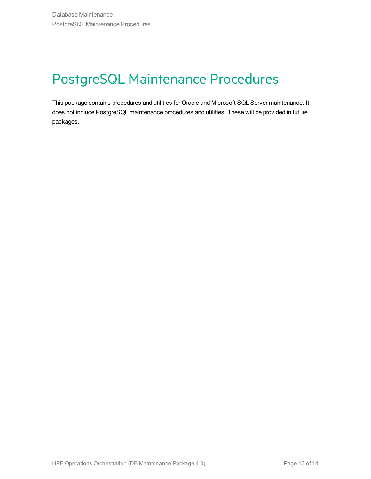### <span id="page-12-0"></span>PostgreSQL Maintenance Procedures

This package contains procedures and utilities for Oracle and Microsoft SQL Server maintenance. It does not include PostgreSQL maintenance procedures and utilities. These will be provided in future packages.